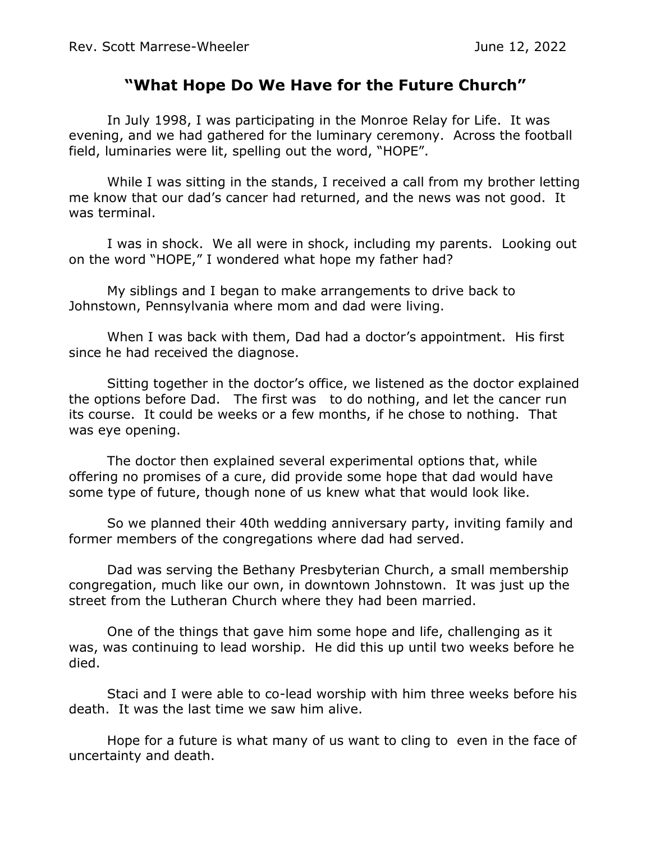## **"What Hope Do We Have for the Future Church"**

In July 1998, I was participating in the Monroe Relay for Life. It was evening, and we had gathered for the luminary ceremony. Across the football field, luminaries were lit, spelling out the word, "HOPE".

While I was sitting in the stands, I received a call from my brother letting me know that our dad's cancer had returned, and the news was not good. It was terminal.

I was in shock. We all were in shock, including my parents. Looking out on the word "HOPE," I wondered what hope my father had?

My siblings and I began to make arrangements to drive back to Johnstown, Pennsylvania where mom and dad were living.

When I was back with them, Dad had a doctor's appointment. His first since he had received the diagnose.

Sitting together in the doctor's office, we listened as the doctor explained the options before Dad. The first was to do nothing, and let the cancer run its course. It could be weeks or a few months, if he chose to nothing. That was eye opening.

The doctor then explained several experimental options that, while offering no promises of a cure, did provide some hope that dad would have some type of future, though none of us knew what that would look like.

So we planned their 40th wedding anniversary party, inviting family and former members of the congregations where dad had served.

Dad was serving the Bethany Presbyterian Church, a small membership congregation, much like our own, in downtown Johnstown. It was just up the street from the Lutheran Church where they had been married.

One of the things that gave him some hope and life, challenging as it was, was continuing to lead worship. He did this up until two weeks before he died.

Staci and I were able to co-lead worship with him three weeks before his death. It was the last time we saw him alive.

Hope for a future is what many of us want to cling to even in the face of uncertainty and death.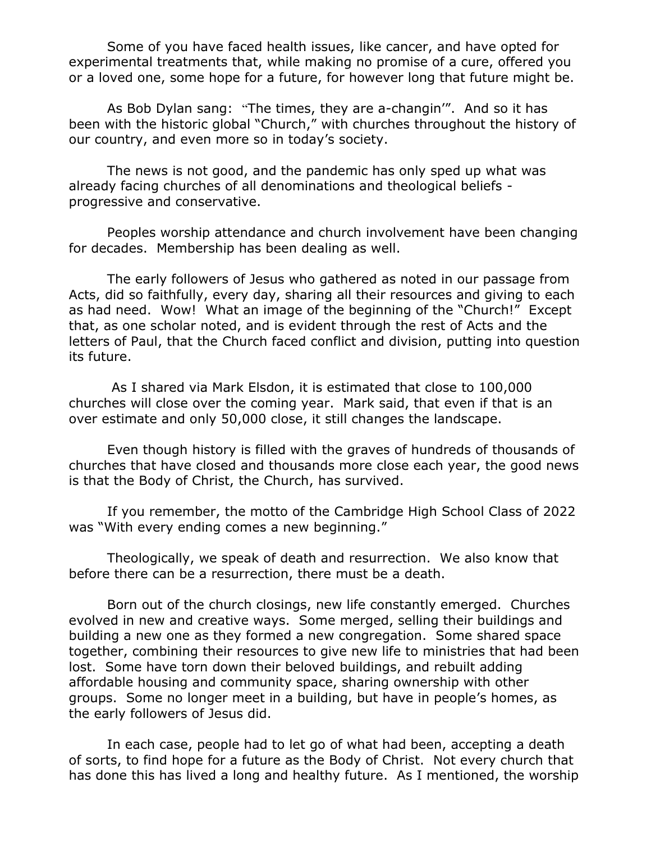Some of you have faced health issues, like cancer, and have opted for experimental treatments that, while making no promise of a cure, offered you or a loved one, some hope for a future, for however long that future might be.

As Bob Dylan sang: "The times, they are a-changin'". And so it has been with the historic global "Church," with churches throughout the history of our country, and even more so in today's society.

The news is not good, and the pandemic has only sped up what was already facing churches of all denominations and theological beliefs progressive and conservative.

Peoples worship attendance and church involvement have been changing for decades. Membership has been dealing as well.

The early followers of Jesus who gathered as noted in our passage from Acts, did so faithfully, every day, sharing all their resources and giving to each as had need. Wow! What an image of the beginning of the "Church!" Except that, as one scholar noted, and is evident through the rest of Acts and the letters of Paul, that the Church faced conflict and division, putting into question its future.

As I shared via Mark Elsdon, it is estimated that close to 100,000 churches will close over the coming year. Mark said, that even if that is an over estimate and only 50,000 close, it still changes the landscape.

Even though history is filled with the graves of hundreds of thousands of churches that have closed and thousands more close each year, the good news is that the Body of Christ, the Church, has survived.

If you remember, the motto of the Cambridge High School Class of 2022 was "With every ending comes a new beginning."

Theologically, we speak of death and resurrection. We also know that before there can be a resurrection, there must be a death.

Born out of the church closings, new life constantly emerged. Churches evolved in new and creative ways. Some merged, selling their buildings and building a new one as they formed a new congregation. Some shared space together, combining their resources to give new life to ministries that had been lost. Some have torn down their beloved buildings, and rebuilt adding affordable housing and community space, sharing ownership with other groups. Some no longer meet in a building, but have in people's homes, as the early followers of Jesus did.

In each case, people had to let go of what had been, accepting a death of sorts, to find hope for a future as the Body of Christ. Not every church that has done this has lived a long and healthy future. As I mentioned, the worship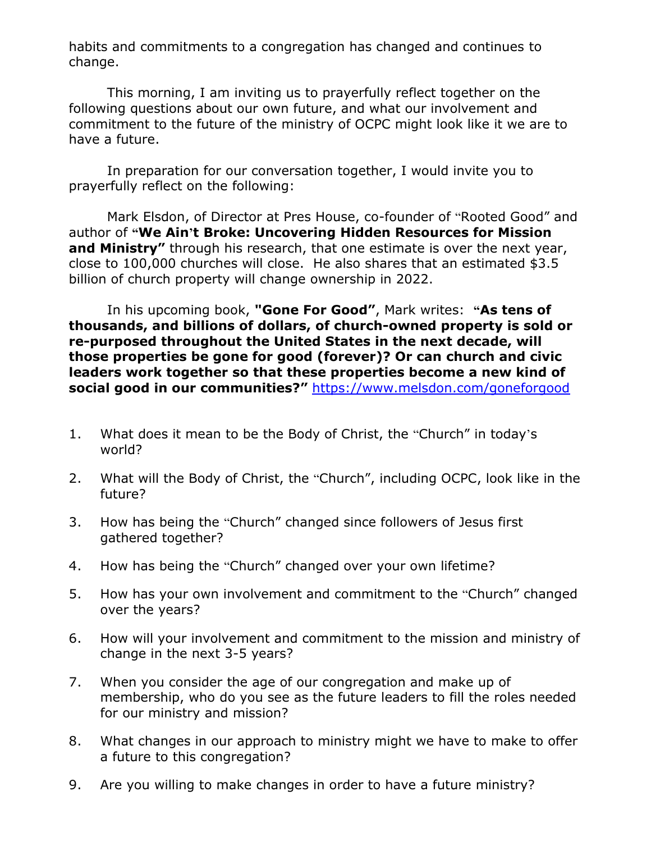habits and commitments to a congregation has changed and continues to change.

This morning, I am inviting us to prayerfully reflect together on the following questions about our own future, and what our involvement and commitment to the future of the ministry of OCPC might look like it we are to have a future.

In preparation for our conversation together, I would invite you to prayerfully reflect on the following:

Mark Elsdon, of Director at Pres House, co-founder of "Rooted Good" and author of **"We Ain't Broke: Uncovering Hidden Resources for Mission and Ministry"** through his research, that one estimate is over the next year, close to 100,000 churches will close. He also shares that an estimated \$3.5 billion of church property will change ownership in 2022.

In his upcoming book, **"Gone For Good"**, Mark writes: **"As tens of thousands, and billions of dollars, of church-owned property is sold or re-purposed throughout the United States in the next decade, will those properties be gone for good (forever)? Or can church and civic leaders work together so that these properties become a new kind of social good in our communities?"** <https://www.melsdon.com/goneforgood>

- 1. What does it mean to be the Body of Christ, the "Church" in today's world?
- 2. What will the Body of Christ, the "Church", including OCPC, look like in the future?
- 3. How has being the "Church" changed since followers of Jesus first gathered together?
- 4. How has being the "Church" changed over your own lifetime?
- 5. How has your own involvement and commitment to the "Church" changed over the years?
- 6. How will your involvement and commitment to the mission and ministry of change in the next 3-5 years?
- 7. When you consider the age of our congregation and make up of membership, who do you see as the future leaders to fill the roles needed for our ministry and mission?
- 8. What changes in our approach to ministry might we have to make to offer a future to this congregation?
- 9. Are you willing to make changes in order to have a future ministry?